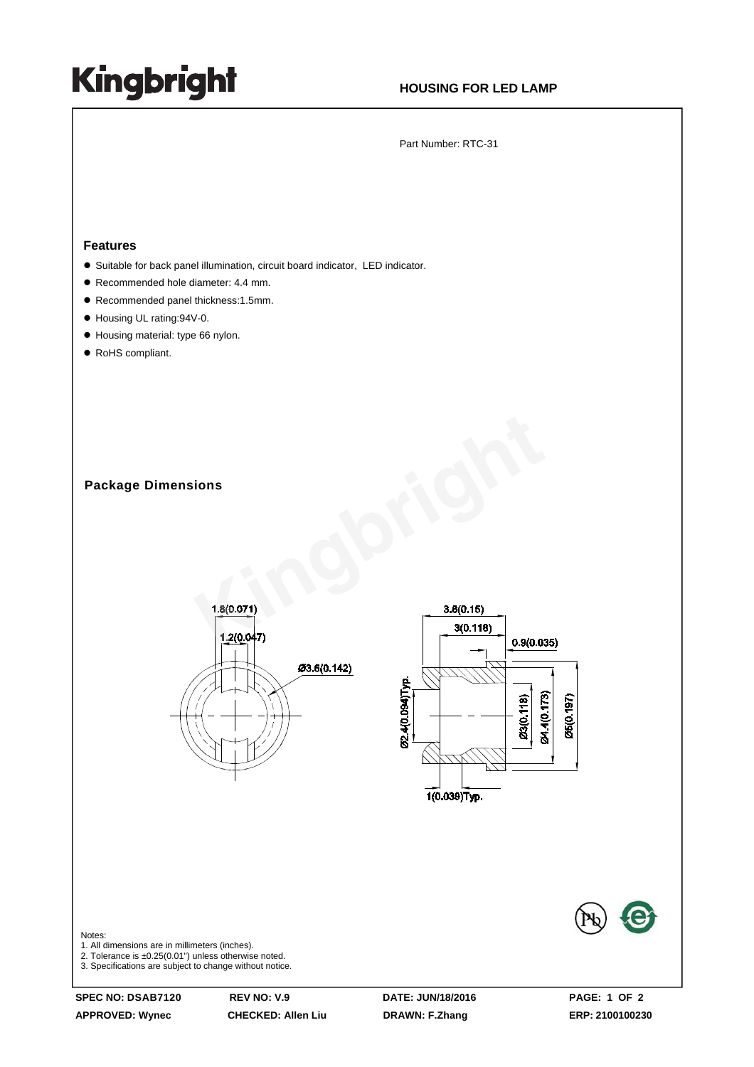## **Kingbright**

## **HOUSING FOR LED LAMP**

Part Number: RTC-31

#### **Features**

- Suitable for back panel illumination, circuit board indicator, LED indicator.
- Recommended hole diameter: 4.4 mm.
- Recommended panel thickness:1.5mm.
- Housing UL rating:94V-0.
- $\bullet$  Housing material: type 66 nylon.
- RoHS compliant.

**Package Dimensions**





#### Notes:

1. All dimensions are in millimeters (inches).

2. Tolerance is ±0.25(0.01") unless otherwise noted.

3. Specifications are subject to change without notice.